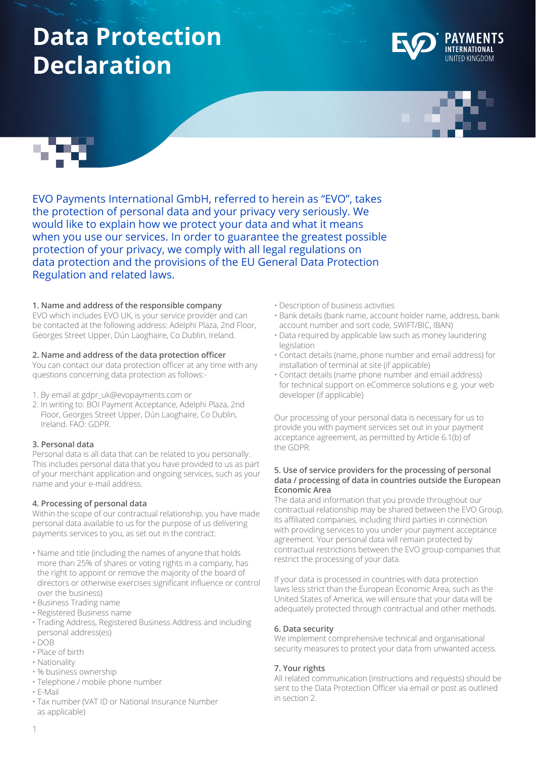# **Data Protection Declaration**







EVO Payments International GmbH, referred to herein as "EVO", takes the protection of personal data and your privacy very seriously. We would like to explain how we protect your data and what it means when you use our services. In order to guarantee the greatest possible protection of your privacy, we comply with all legal regulations on data protection and the provisions of the EU General Data Protection Regulation and related laws.

## **1. Name and address of the responsible company**

EVO which includes EVO UK, is your service provider and can be contacted at the following address: Adelphi Plaza, 2nd Floor, Georges Street Upper, Dún Laoghaire, Co Dublin, Ireland.

## **2. Name and address of the data protection officer**

You can contact our data protection officer at any time with any questions concerning data protection as follows:-

- 1. By email at gdpr\_uk@evopayments.com or
- 2. In writing to: BOI Payment Acceptance, Adelphi Plaza, 2nd Floor, Georges Street Upper, Dún Laoghaire, Co Dublin, Ireland. FAO: GDPR.

## **3. Personal data**

Personal data is all data that can be related to you personally. This includes personal data that you have provided to us as part of your merchant application and ongoing services, such as your name and your e-mail address.

## **4. Processing of personal data**

Within the scope of our contractual relationship, you have made personal data available to us for the purpose of us delivering payments services to you, as set out in the contract:

- Name and title (including the names of anyone that holds more than 25% of shares or voting rights in a company, has the right to appoint or remove the majority of the board of directors or otherwise exercises significant influence or control over the business)
- Business Trading name
- Registered Business name
- Trading Address, Registered Business Address and including personal address(es)
- DOB
- Place of birth
- Nationality
- % business ownership
- Telephone / mobile phone number
- E-Mail
- Tax number (VAT ID or National Insurance Number as applicable)
- Description of business activities
- Bank details (bank name, account holder name, address, bank account number and sort code, SWIFT/BIC, IBAN)
- Data required by applicable law such as money laundering legislation
- Contact details (name, phone number and email address) for installation of terminal at site (if applicable)
- Contact details (name phone number and email address) for technical support on eCommerce solutions e.g. your web developer (if applicable)

Our processing of your personal data is necessary for us to provide you with payment services set out in your payment acceptance agreement, as permitted by Article 6.1(b) of the GDPR.

#### **5. Use of service providers for the processing of personal data / processing of data in countries outside the European Economic Area**

The data and information that you provide throughout our contractual relationship may be shared between the EVO Group, its affiliated companies, including third parties in connection with providing services to you under your payment acceptance agreement. Your personal data will remain protected by contractual restrictions between the EVO group companies that restrict the processing of your data.

If your data is processed in countries with data protection laws less strict than the European Economic Area, such as the United States of America, we will ensure that your data will be adequately protected through contractual and other methods.

## **6. Data security**

We implement comprehensive technical and organisational security measures to protect your data from unwanted access.

## **7. Your rights**

All related communication (instructions and requests) should be sent to the Data Protection Officer via email or post as outlined in section 2.